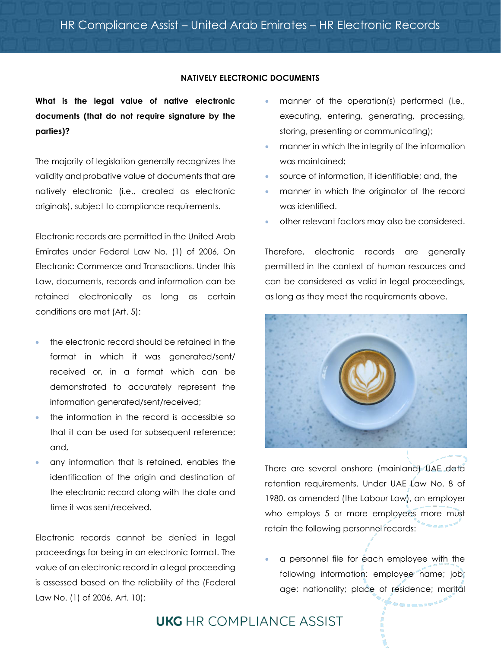## **NATIVELY ELECTRONIC DOCUMENTS**

**What is the legal value of native electronic documents (that do not require signature by the parties)?**

The majority of legislation generally recognizes the validity and probative value of documents that are natively electronic (i.e., created as electronic originals), subject to compliance requirements.

Electronic records are permitted in the United Arab Emirates under Federal Law No. (1) of 2006, On Electronic Commerce and Transactions. Under this Law, documents, records and information can be retained electronically as long as certain conditions are met (Art. 5):

- the electronic record should be retained in the format in which it was generated/sent/ received or, in a format which can be demonstrated to accurately represent the information generated/sent/received;
- the information in the record is accessible so that it can be used for subsequent reference; and,
- any information that is retained, enables the identification of the origin and destination of the electronic record along with the date and time it was sent/received.

Electronic records cannot be denied in legal proceedings for being in an electronic format. The value of an electronic record in a legal proceeding is assessed based on the reliability of the (Federal Law No. (1) of 2006, Art. 10):

- manner of the operation(s) performed (i.e., executing, entering, generating, processing, storing, presenting or communicating);
- manner in which the integrity of the information was maintained;
- source of information, if identifiable; and, the
- manner in which the originator of the record was identified.
- other relevant factors may also be considered.

Therefore, electronic records are generally permitted in the context of human resources and can be considered as valid in legal proceedings, as long as they meet the requirements above.



There are several onshore (mainland) UAE data retention requirements. Under UAE Law No. 8 of 1980, as amended (the Labour Law), an employer who employs 5 or more employees more must retain the following personnel records:

• a personnel file for each employee with the following information: employee name; job; age; nationality; place of residence; marital

**UKG** HR COMPLIANCE ASSIST